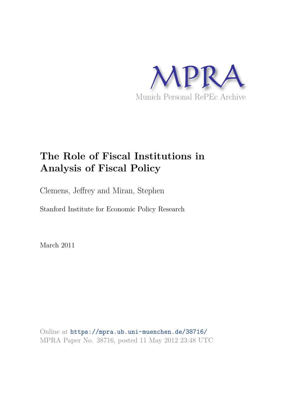

# **The Role of Fiscal Institutions in Analysis of Fiscal Policy**

Clemens, Jeffrey and Miran, Stephen

Stanford Institute for Economic Policy Research

March 2011

Online at https://mpra.ub.uni-muenchen.de/38716/ MPRA Paper No. 38716, posted 11 May 2012 23:48 UTC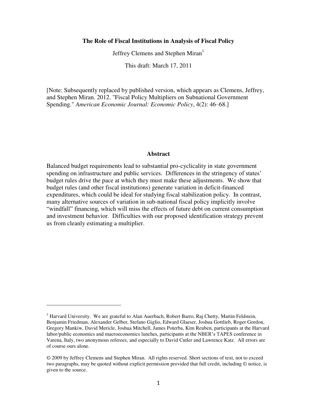#### **The Role of Fiscal Institutions in Analysis of Fiscal Policy**

Jeffrey Clemens and Stephen Miran<sup>1</sup>

This draft: March 17, 2011

[Note: Subsequently replaced by published version, which appears as Clemens, Jeffrey, and Stephen Miran. 2012. "Fiscal Policy Multipliers on Subnational Government Spending." *American Economic Journal: Economic Policy*, 4(2): 46–68.]

#### **Abstract**

Balanced budget requirements lead to substantial pro-cyclicality in state government spending on infrastructure and public services. Differences in the stringency of states' budget rules drive the pace at which they must make these adjustments. We show that budget rules (and other fiscal institutions) generate variation in deficit-financed expenditures, which could be ideal for studying fiscal stabilization policy. In contrast, many alternative sources of variation in sub-national fiscal policy implicitly involve "windfall" financing, which will miss the effects of future debt on current consumption and investment behavior. Difficulties with our proposed identification strategy prevent us from cleanly estimating a multiplier.

<sup>&</sup>lt;sup>1</sup> Harvard University. We are grateful to Alan Auerbach, Robert Barro, Raj Chetty, Martin Feldstein, Benjamin Friedman, Alexander Gelber, Stefano Giglio, Edward Glaeser, Joshua Gottlieb, Roger Gordon, Gregory Mankiw, David Mericle, Joshua Mitchell, James Poterba, Kim Reuben, participants at the Harvard labor/public economics and macroeconomics lunches, participants at the NBER's TAPES conference in Varena, Italy, two anonymous referees, and especially to David Cutler and Lawrence Katz. All errors are of course ours alone.

<sup>© 2009</sup> by Jeffrey Clemens and Stephen Miran. All rights reserved. Short sections of text, not to exceed two paragraphs, may be quoted without explicit permission provided that full credit, including © notice, is given to the source.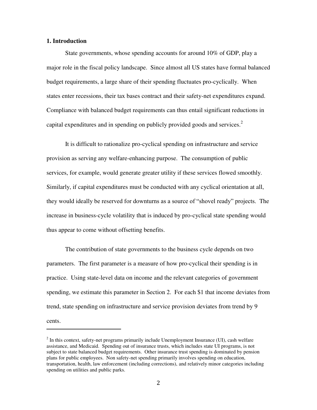#### **1. Introduction**

 $\overline{a}$ 

State governments, whose spending accounts for around 10% of GDP, play a major role in the fiscal policy landscape. Since almost all US states have formal balanced budget requirements, a large share of their spending fluctuates pro-cyclically. When states enter recessions, their tax bases contract and their safety-net expenditures expand. Compliance with balanced budget requirements can thus entail significant reductions in capital expenditures and in spending on publicly provided goods and services.<sup>2</sup>

It is difficult to rationalize pro-cyclical spending on infrastructure and service provision as serving any welfare-enhancing purpose. The consumption of public services, for example, would generate greater utility if these services flowed smoothly. Similarly, if capital expenditures must be conducted with any cyclical orientation at all, they would ideally be reserved for downturns as a source of "shovel ready" projects. The increase in business-cycle volatility that is induced by pro-cyclical state spending would thus appear to come without offsetting benefits.

The contribution of state governments to the business cycle depends on two parameters. The first parameter is a measure of how pro-cyclical their spending is in practice. Using state-level data on income and the relevant categories of government spending, we estimate this parameter in Section 2. For each \$1 that income deviates from trend, state spending on infrastructure and service provision deviates from trend by 9 cents.

 $2^{2}$  In this context, safety-net programs primarily include Unemployment Insurance (UI), cash welfare assistance, and Medicaid. Spending out of insurance trusts, which includes state UI programs, is not subject to state balanced budget requirements. Other insurance trust spending is dominated by pension plans for public employees. Non safety-net spending primarily involves spending on education, transportation, health, law enforcement (including corrections), and relatively minor categories including spending on utilities and public parks.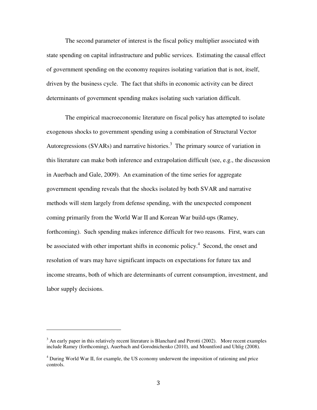The second parameter of interest is the fiscal policy multiplier associated with state spending on capital infrastructure and public services. Estimating the causal effect of government spending on the economy requires isolating variation that is not, itself, driven by the business cycle. The fact that shifts in economic activity can be direct determinants of government spending makes isolating such variation difficult.

The empirical macroeconomic literature on fiscal policy has attempted to isolate exogenous shocks to government spending using a combination of Structural Vector Autoregressions (SVARs) and narrative histories.<sup>3</sup> The primary source of variation in this literature can make both inference and extrapolation difficult (see, e.g., the discussion in Auerbach and Gale, 2009). An examination of the time series for aggregate government spending reveals that the shocks isolated by both SVAR and narrative methods will stem largely from defense spending, with the unexpected component coming primarily from the World War II and Korean War build-ups (Ramey, forthcoming). Such spending makes inference difficult for two reasons. First, wars can be associated with other important shifts in economic policy.<sup>4</sup> Second, the onset and resolution of wars may have significant impacts on expectations for future tax and income streams, both of which are determinants of current consumption, investment, and labor supply decisions.

 $3$  An early paper in this relatively recent literature is Blanchard and Perotti (2002). More recent examples include Ramey (forthcoming), Auerbach and Gorodnichenko (2010), and Mountford and Uhlig (2008).

<sup>&</sup>lt;sup>4</sup> During World War II, for example, the US economy underwent the imposition of rationing and price controls.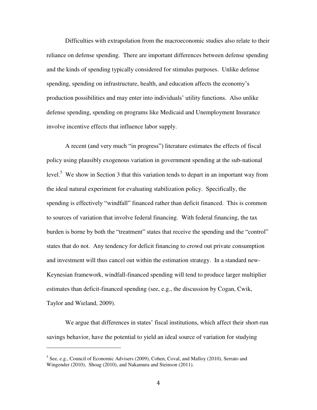Difficulties with extrapolation from the macroeconomic studies also relate to their reliance on defense spending. There are important differences between defense spending and the kinds of spending typically considered for stimulus purposes. Unlike defense spending, spending on infrastructure, health, and education affects the economy's production possibilities and may enter into individuals' utility functions. Also unlike defense spending, spending on programs like Medicaid and Unemployment Insurance involve incentive effects that influence labor supply.

A recent (and very much "in progress") literature estimates the effects of fiscal policy using plausibly exogenous variation in government spending at the sub-national level.<sup>5</sup> We show in Section 3 that this variation tends to depart in an important way from the ideal natural experiment for evaluating stabilization policy. Specifically, the spending is effectively "windfall" financed rather than deficit financed. This is common to sources of variation that involve federal financing. With federal financing, the tax burden is borne by both the "treatment" states that receive the spending and the "control" states that do not. Any tendency for deficit financing to crowd out private consumption and investment will thus cancel out within the estimation strategy. In a standard new-Keynesian framework, windfall-financed spending will tend to produce larger multiplier estimates than deficit-financed spending (see, e.g., the discussion by Cogan, Cwik, Taylor and Wieland, 2009).

We argue that differences in states' fiscal institutions, which affect their short-run savings behavior, have the potential to yield an ideal source of variation for studying

<sup>&</sup>lt;sup>5</sup> See, e.g., Council of Economic Advisers (2009), Cohen, Coval, and Malloy (2010), Serrato and Wingender (2010), Shoag (2010), and Nakamura and Steinson (2011).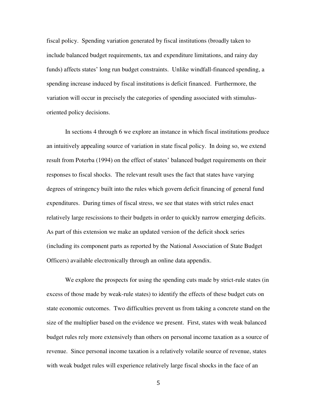fiscal policy. Spending variation generated by fiscal institutions (broadly taken to include balanced budget requirements, tax and expenditure limitations, and rainy day funds) affects states' long run budget constraints. Unlike windfall-financed spending, a spending increase induced by fiscal institutions is deficit financed. Furthermore, the variation will occur in precisely the categories of spending associated with stimulusoriented policy decisions.

In sections 4 through 6 we explore an instance in which fiscal institutions produce an intuitively appealing source of variation in state fiscal policy. In doing so, we extend result from Poterba (1994) on the effect of states' balanced budget requirements on their responses to fiscal shocks. The relevant result uses the fact that states have varying degrees of stringency built into the rules which govern deficit financing of general fund expenditures. During times of fiscal stress, we see that states with strict rules enact relatively large rescissions to their budgets in order to quickly narrow emerging deficits. As part of this extension we make an updated version of the deficit shock series (including its component parts as reported by the National Association of State Budget Officers) available electronically through an online data appendix.

We explore the prospects for using the spending cuts made by strict-rule states (in excess of those made by weak-rule states) to identify the effects of these budget cuts on state economic outcomes. Two difficulties prevent us from taking a concrete stand on the size of the multiplier based on the evidence we present. First, states with weak balanced budget rules rely more extensively than others on personal income taxation as a source of revenue. Since personal income taxation is a relatively volatile source of revenue, states with weak budget rules will experience relatively large fiscal shocks in the face of an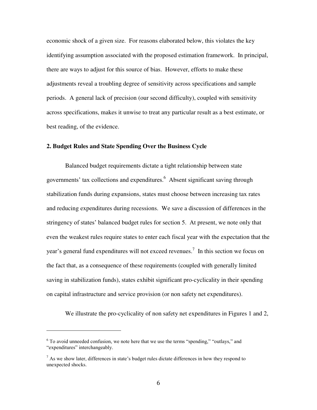economic shock of a given size. For reasons elaborated below, this violates the key identifying assumption associated with the proposed estimation framework. In principal, there are ways to adjust for this source of bias. However, efforts to make these adjustments reveal a troubling degree of sensitivity across specifications and sample periods. A general lack of precision (our second difficulty), coupled with sensitivity across specifications, makes it unwise to treat any particular result as a best estimate, or best reading, of the evidence.

#### **2. Budget Rules and State Spending Over the Business Cycle**

Balanced budget requirements dictate a tight relationship between state governments' tax collections and expenditures.<sup>6</sup> Absent significant saving through stabilization funds during expansions, states must choose between increasing tax rates and reducing expenditures during recessions. We save a discussion of differences in the stringency of states' balanced budget rules for section 5. At present, we note only that even the weakest rules require states to enter each fiscal year with the expectation that the year's general fund expenditures will not exceed revenues.<sup>7</sup> In this section we focus on the fact that, as a consequence of these requirements (coupled with generally limited saving in stabilization funds), states exhibit significant pro-cyclicality in their spending on capital infrastructure and service provision (or non safety net expenditures).

We illustrate the pro-cyclicality of non safety net expenditures in Figures 1 and 2,

<sup>&</sup>lt;sup>6</sup> To avoid unneeded confusion, we note here that we use the terms "spending," "outlays," and "expenditures" interchangeably.

 $<sup>7</sup>$  As we show later, differences in state's budget rules dictate differences in how they respond to</sup> unexpected shocks.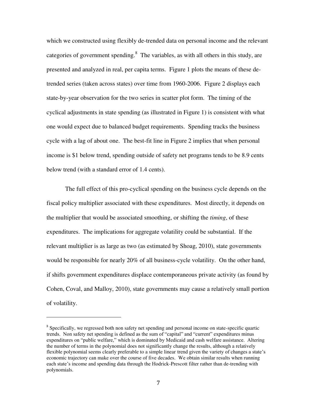which we constructed using flexibly de-trended data on personal income and the relevant categories of government spending. $8$  The variables, as with all others in this study, are presented and analyzed in real, per capita terms. Figure 1 plots the means of these detrended series (taken across states) over time from 1960-2006. Figure 2 displays each state-by-year observation for the two series in scatter plot form. The timing of the cyclical adjustments in state spending (as illustrated in Figure 1) is consistent with what one would expect due to balanced budget requirements. Spending tracks the business cycle with a lag of about one. The best-fit line in Figure 2 implies that when personal income is \$1 below trend, spending outside of safety net programs tends to be 8.9 cents below trend (with a standard error of 1.4 cents).

The full effect of this pro-cyclical spending on the business cycle depends on the fiscal policy multiplier associated with these expenditures. Most directly, it depends on the multiplier that would be associated smoothing, or shifting the *timing*, of these expenditures. The implications for aggregate volatility could be substantial. If the relevant multiplier is as large as two (as estimated by Shoag, 2010), state governments would be responsible for nearly 20% of all business-cycle volatility. On the other hand, if shifts government expenditures displace contemporaneous private activity (as found by Cohen, Coval, and Malloy, 2010), state governments may cause a relatively small portion of volatility.

<sup>&</sup>lt;sup>8</sup> Specifically, we regressed both non safety net spending and personal income on state-specific quartic trends. Non safety net spending is defined as the sum of "capital" and "current" expenditures minus expenditures on "public welfare," which is dominated by Medicaid and cash welfare assistance. Altering the number of terms in the polynomial does not significantly change the results, although a relatively flexible polynomial seems clearly preferable to a simple linear trend given the variety of changes a state's economic trajectory can make over the course of five decades. We obtain similar results when running each state's income and spending data through the Hodrick-Prescott filter rather than de-trending with polynomials.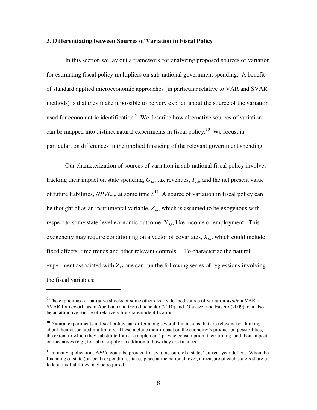#### **3. Differentiating between Sources of Variation in Fiscal Policy**

 In this section we lay out a framework for analyzing proposed sources of variation for estimating fiscal policy multipliers on sub-national government spending. A benefit of standard applied microeconomic approaches (in particular relative to VAR and SVAR methods) is that they make it possible to be very explicit about the source of the variation used for econometric identification. $9$  We describe how alternative sources of variation can be mapped into distinct natural experiments in fiscal policy.<sup>10</sup> We focus, in particular, on differences in the implied financing of the relevant government spending.

 Our characterization of sources of variation in sub-national fiscal policy involves tracking their impact on state spending,  $G_{s,t}$ , tax revenues,  $T_{s,t}$ , and the net present value of future liabilities, *NPVLs,t*, at some time *t*. <sup>11</sup> A source of variation in fiscal policy can be thought of as an instrumental variable, *Zs,t*, which is assumed to be exogenous with respect to some state-level economic outcome, Y*s,t*, like income or employment. This exogeneity may require conditioning on a vector of covariates, *Xs,t*, which could include fixed effects, time trends and other relevant controls. To characterize the natural experiment associated with  $Z_{s,t}$  one can run the following series of regressions involving the fiscal variables:

<sup>9</sup> The explicit use of narrative shocks or some other clearly defined source of variation *within* a VAR or SVAR framework, as in Auerbach and Gorodnichenko (2010) and Giavazzi and Favero (2009), can also be an attractive source of relatively transparent identification.

 $10$  Natural experiments in fiscal policy can differ along several dimensions that are relevant for thinking about their associated multipliers. These include their impact on the economy's production possibilities, the extent to which they substitute for (or complement) private consumption, their timing, and their impact on incentives (e.g., for labor supply) in addition to how they are financed.

<sup>&</sup>lt;sup>11</sup> In many applications *NPVL* could be proxied for by a measure of a states' current year deficit. When the financing of state (or local) expenditures takes place at the national level, a measure of each state's share of federal tax liabilities may be required.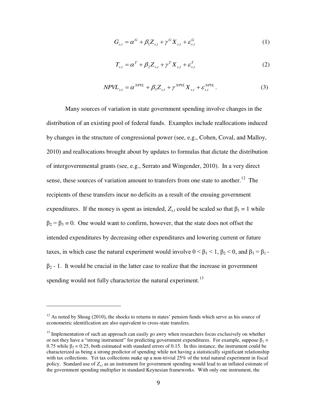$$
G_{s,t} = \alpha^G + \beta_1 Z_{s,t} + \gamma^G X_{s,t} + \varepsilon_{s,t}^G
$$
 (1)

$$
T_{s,t} = \alpha^T + \beta_2 Z_{s,t} + \gamma^T X_{s,t} + \varepsilon_{s,t}^T
$$
 (2)

$$
NPVL_{s,t} = \alpha^{NPVL} + \beta_3 Z_{s,t} + \gamma^{NPVL} X_{s,t} + \varepsilon_{s,t}^{NPVL}.
$$
 (3)

Many sources of variation in state government spending involve changes in the distribution of an existing pool of federal funds. Examples include reallocations induced by changes in the structure of congressional power (see, e.g., Cohen, Coval, and Malloy, 2010) and reallocations brought about by updates to formulas that dictate the distribution of intergovernmental grants (see, e.g., Serrato and Wingender, 2010). In a very direct sense, these sources of variation amount to transfers from one state to another.<sup>12</sup> The recipients of these transfers incur no deficits as a result of the ensuing government expenditures. If the money is spent as intended,  $Z_{s,t}$  could be scaled so that  $\beta_1 = 1$  while  $\beta_2 = \beta_3 = 0$ . One would want to confirm, however, that the state does not offset the intended expenditures by decreasing other expenditures and lowering current or future taxes, in which case the natural experiment would involve  $0 < \beta_1 < 1$ ,  $\beta_2 < 0$ , and  $\beta_3 = \beta_1$ .  $\beta_2$  - 1. It would be crucial in the latter case to realize that the increase in government spending would not fully characterize the natural experiment.<sup>13</sup>

 $12$  As noted by Shoag (2010), the shocks to returns in states' pension funds which serve as his source of econometric identification are also equivalent to cross-state transfers.

 $13$  Implementation of such an approach can easily go awry when researchers focus exclusively on whether or not they have a "strong instrument" for predicting government expenditures. For example, suppose  $\beta_1 =$ 0.75 while  $\beta_2 = 0.25$ , both estimated with standard errors of 0.15. In this instance, the instrument could be characterized as being a strong predictor of spending while not having a statistically significant relationship with tax collections. Yet tax collections make up a non-trivial 25% of the total natural experiment in fiscal policy. Standard use of *Zs,t* as an instrument for government spending would lead to an inflated estimate of the government spending multiplier in standard Keynesian frameworks. With only one instrument, the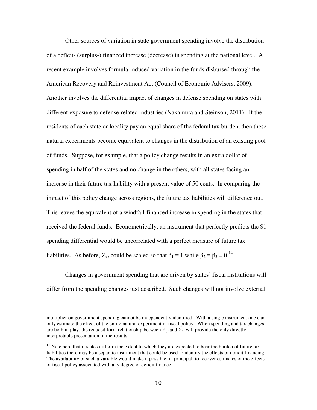Other sources of variation in state government spending involve the distribution of a deficit- (surplus-) financed increase (decrease) in spending at the national level. A recent example involves formula-induced variation in the funds disbursed through the American Recovery and Reinvestment Act (Council of Economic Advisers, 2009). Another involves the differential impact of changes in defense spending on states with different exposure to defense-related industries (Nakamura and Steinson, 2011). If the residents of each state or locality pay an equal share of the federal tax burden, then these natural experiments become equivalent to changes in the distribution of an existing pool of funds. Suppose, for example, that a policy change results in an extra dollar of spending in half of the states and no change in the others, with all states facing an increase in their future tax liability with a present value of 50 cents. In comparing the impact of this policy change across regions, the future tax liabilities will difference out. This leaves the equivalent of a windfall-financed increase in spending in the states that received the federal funds. Econometrically, an instrument that perfectly predicts the \$1 spending differential would be uncorrelated with a perfect measure of future tax liabilities. As before,  $Z_{s,t}$  could be scaled so that  $\beta_1 = 1$  while  $\beta_2 = \beta_3 = 0$ .<sup>14</sup>

Changes in government spending that are driven by states' fiscal institutions will differ from the spending changes just described. Such changes will not involve external

multiplier on government spending cannot be independently identified. With a single instrument one can only estimate the effect of the entire natural experiment in fiscal policy. When spending and tax changes are both in play, the reduced form relationship between  $Z_{s,t}$  and  $Y_{s,t}$  will provide the only directly interpretable presentation of the results.

 $14$  Note here that if states differ in the extent to which they are expected to bear the burden of future tax liabilities there may be a separate instrument that could be used to identify the effects of deficit financing. The availability of such a variable would make it possible, in principal, to recover estimates of the effects of fiscal policy associated with any degree of deficit finance.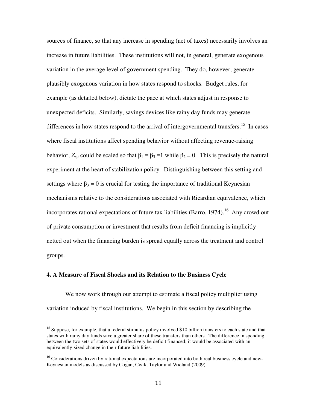sources of finance, so that any increase in spending (net of taxes) necessarily involves an increase in future liabilities. These institutions will not, in general, generate exogenous variation in the average level of government spending. They do, however, generate plausibly exogenous variation in how states respond to shocks. Budget rules, for example (as detailed below), dictate the pace at which states adjust in response to unexpected deficits. Similarly, savings devices like rainy day funds may generate differences in how states respond to the arrival of intergovernmental transfers.<sup>15</sup> In cases where fiscal institutions affect spending behavior without affecting revenue-raising behavior,  $Z_{s,t}$  could be scaled so that  $\beta_1 = \beta_3 = 1$  while  $\beta_2 = 0$ . This is precisely the natural experiment at the heart of stabilization policy. Distinguishing between this setting and settings where  $\beta_3 = 0$  is crucial for testing the importance of traditional Keynesian mechanisms relative to the considerations associated with Ricardian equivalence, which incorporates rational expectations of future tax liabilities (Barro, 1974).<sup>16</sup> Any crowd out of private consumption or investment that results from deficit financing is implicitly netted out when the financing burden is spread equally across the treatment and control groups.

#### **4. A Measure of Fiscal Shocks and its Relation to the Business Cycle**

 $\overline{a}$ 

We now work through our attempt to estimate a fiscal policy multiplier using variation induced by fiscal institutions. We begin in this section by describing the

<sup>&</sup>lt;sup>15</sup> Suppose, for example, that a federal stimulus policy involved \$10 billion transfers to each state and that states with rainy day funds save a greater share of these transfers than others. The difference in spending between the two sets of states would effectively be deficit financed; it would be associated with an equivalently-sized change in their future liabilities.

<sup>&</sup>lt;sup>16</sup> Considerations driven by rational expectations are incorporated into both real business cycle and new-Keynesian models as discussed by Cogan, Cwik, Taylor and Wieland (2009).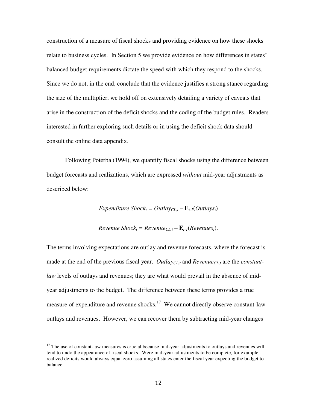construction of a measure of fiscal shocks and providing evidence on how these shocks relate to business cycles. In Section 5 we provide evidence on how differences in states' balanced budget requirements dictate the speed with which they respond to the shocks. Since we do not, in the end, conclude that the evidence justifies a strong stance regarding the size of the multiplier, we hold off on extensively detailing a variety of caveats that arise in the construction of the deficit shocks and the coding of the budget rules. Readers interested in further exploring such details or in using the deficit shock data should consult the online data appendix.

Following Poterba (1994), we quantify fiscal shocks using the difference between budget forecasts and realizations, which are expressed *without* mid-year adjustments as described below:

*Expenditure Shock*<sup>*t*</sup> = *Outlay<sub>CL</sub><sub>t</sub>* -  $\mathbf{E}_{t-1}$ (*Outlays*<sub>*t*</sub>)</sub>

*Revenue Shock*<sub>*t*</sub> = *Revenue*<sub>*CL*,*t*</sub> –  $\mathbf{E}_{t-1}$ (*Revenues*<sub>*t*</sub>).

The terms involving expectations are outlay and revenue forecasts, where the forecast is made at the end of the previous fiscal year. *OutlayCL,t* and *RevenueCL,t* are the *constantlaw* levels of outlays and revenues; they are what would prevail in the absence of midyear adjustments to the budget. The difference between these terms provides a true measure of expenditure and revenue shocks.<sup>17</sup> We cannot directly observe constant-law outlays and revenues. However, we can recover them by subtracting mid-year changes

 $17$  The use of constant-law measures is crucial because mid-year adjustments to outlays and revenues will tend to undo the appearance of fiscal shocks. Were mid-year adjustments to be complete, for example, realized deficits would always equal zero assuming all states enter the fiscal year expecting the budget to balance.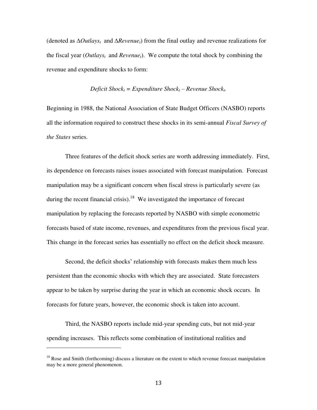(denoted as ∆*Outlays<sup>t</sup>* and ∆*Revenuet*) from the final outlay and revenue realizations for the fiscal year (*Outlays<sub>t</sub>* and *Revenue<sub>t</sub>*). We compute the total shock by combining the revenue and expenditure shocks to form:

*Deficit* 
$$
Shock_t = Expenditure
$$
  $Shock_t - Revenue$   $Shock_t$ .

Beginning in 1988, the National Association of State Budget Officers (NASBO) reports all the information required to construct these shocks in its semi-annual *Fiscal Survey of the States* series.

Three features of the deficit shock series are worth addressing immediately. First, its dependence on forecasts raises issues associated with forecast manipulation. Forecast manipulation may be a significant concern when fiscal stress is particularly severe (as during the recent financial crisis).<sup>18</sup> We investigated the importance of forecast manipulation by replacing the forecasts reported by NASBO with simple econometric forecasts based of state income, revenues, and expenditures from the previous fiscal year. This change in the forecast series has essentially no effect on the deficit shock measure.

Second, the deficit shocks' relationship with forecasts makes them much less persistent than the economic shocks with which they are associated. State forecasters appear to be taken by surprise during the year in which an economic shock occurs. In forecasts for future years, however, the economic shock is taken into account.

Third, the NASBO reports include mid-year spending cuts, but not mid-year spending increases. This reflects some combination of institutional realities and

 $18$  Rose and Smith (forthcoming) discuss a literature on the extent to which revenue forecast manipulation may be a more general phenomenon.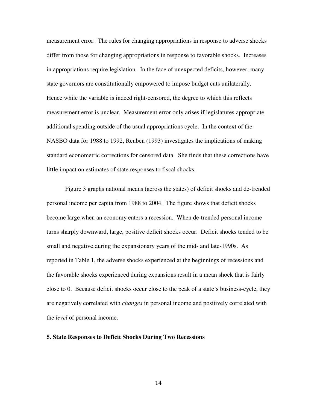measurement error. The rules for changing appropriations in response to adverse shocks differ from those for changing appropriations in response to favorable shocks. Increases in appropriations require legislation. In the face of unexpected deficits, however, many state governors are constitutionally empowered to impose budget cuts unilaterally. Hence while the variable is indeed right-censored, the degree to which this reflects measurement error is unclear. Measurement error only arises if legislatures appropriate additional spending outside of the usual appropriations cycle. In the context of the NASBO data for 1988 to 1992, Reuben (1993) investigates the implications of making standard econometric corrections for censored data. She finds that these corrections have little impact on estimates of state responses to fiscal shocks.

Figure 3 graphs national means (across the states) of deficit shocks and de-trended personal income per capita from 1988 to 2004. The figure shows that deficit shocks become large when an economy enters a recession. When de-trended personal income turns sharply downward, large, positive deficit shocks occur. Deficit shocks tended to be small and negative during the expansionary years of the mid- and late-1990s. As reported in Table 1, the adverse shocks experienced at the beginnings of recessions and the favorable shocks experienced during expansions result in a mean shock that is fairly close to 0. Because deficit shocks occur close to the peak of a state's business-cycle, they are negatively correlated with *changes* in personal income and positively correlated with the *level* of personal income.

#### **5. State Responses to Deficit Shocks During Two Recessions**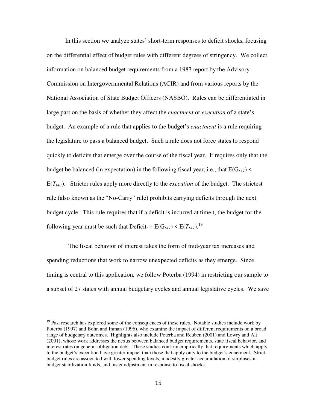In this section we analyze states' short-term responses to deficit shocks, focusing on the differential effect of budget rules with different degrees of stringency. We collect information on balanced budget requirements from a 1987 report by the Advisory Commission on Intergovernmental Relations (ACIR) and from various reports by the National Association of State Budget Officers (NASBO). Rules can be differentiated in large part on the basis of whether they affect the *enactment* or *execution* of a state's budget. An example of a rule that applies to the budget's *enactment* is a rule requiring the legislature to pass a balanced budget. Such a rule does not force states to respond quickly to deficits that emerge over the course of the fiscal year. It requires only that the budget be balanced (in expectation) in the following fiscal year, i.e., that  $E(G_{t+1})$  <  $E(T_{t+1})$ . Stricter rules apply more directly to the *execution* of the budget. The strictest rule (also known as the "No-Carry" rule) prohibits carrying deficits through the next budget cycle. This rule requires that if a deficit is incurred at time t, the budget for the following year must be such that  $\text{Deficit}_{t} + \text{E}(G_{t+1}) \leq \text{E}(T_{t+1}).^{19}$ 

 The fiscal behavior of interest takes the form of mid-year tax increases and spending reductions that work to narrow unexpected deficits as they emerge. Since timing is central to this application, we follow Poterba (1994) in restricting our sample to a subset of 27 states with annual budgetary cycles and annual legislative cycles. We save

 $19$  Past research has explored some of the consequences of these rules. Notable studies include work by Poterba (1997) and Bohn and Inman (1996), who examine the impact of different requirements on a broad range of budgetary outcomes. Highlights also include Poterba and Reuben (2001) and Lowry and Alt (2001), whose work addresses the nexus between balanced budget requirements, state fiscal behavior, and interest rates on general-obligation debt. These studies confirm empirically that requirements which apply to the budget's execution have greater impact than those that apply only to the budget's enactment. Strict budget rules are associated with lower spending levels, modestly greater accumulation of surpluses in budget stabilization funds, and faster adjustment in response to fiscal shocks.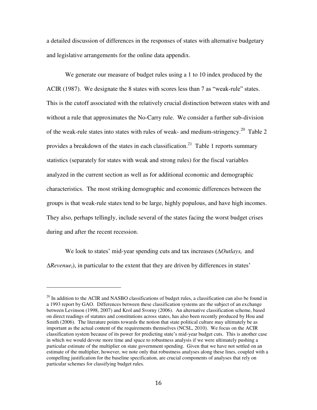a detailed discussion of differences in the responses of states with alternative budgetary and legislative arrangements for the online data appendix.

We generate our measure of budget rules using a 1 to 10 index produced by the ACIR (1987). We designate the 8 states with scores less than 7 as "weak-rule" states. This is the cutoff associated with the relatively crucial distinction between states with and without a rule that approximates the No-Carry rule. We consider a further sub-division of the weak-rule states into states with rules of weak- and medium-stringency.<sup>20</sup> Table 2 provides a breakdown of the states in each classification.<sup>21</sup> Table 1 reports summary statistics (separately for states with weak and strong rules) for the fiscal variables analyzed in the current section as well as for additional economic and demographic characteristics. The most striking demographic and economic differences between the groups is that weak-rule states tend to be large, highly populous, and have high incomes. They also, perhaps tellingly, include several of the states facing the worst budget crises during and after the recent recession.

We look to states' mid-year spending cuts and tax increases (∆*Outlays<sup>t</sup>* and ∆*Revenuet*), in particular to the extent that they are driven by differences in states'

 $^{20}$  In addition to the ACIR and NASBO classifications of budget rules, a classification can also be found in a 1993 report by GAO. Differences between these classification systems are the subject of an exchange between Levinson (1998, 2007) and Krol and Svorny (2006). An alternative classification scheme, based on direct readings of statutes and constitutions across states, has also been recently produced by Hou and Smith (2006). The literature points towards the notion that state political culture may ultimately be as important as the actual content of the requirements themselves (NCSL, 2010). We focus on the ACIR classification system because of its power for predicting state's mid-year budget cuts. This is another case in which we would devote more time and space to robustness analysis if we were ultimately pushing a particular estimate of the multiplier on state government spending. Given that we have not settled on an estimate of the multiplier, however, we note only that robustness analyses along these lines, coupled with a compelling justification for the baseline specification, are crucial components of analyses that rely on particular schemes for classifying budget rules.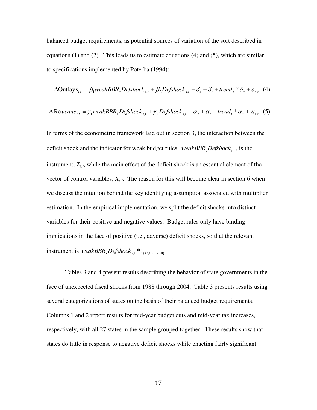balanced budget requirements, as potential sources of variation of the sort described in equations (1) and (2). This leads us to estimate equations (4) and (5), which are similar to specifications implemented by Poterba (1994):

$$
\Delta\text{Outlay}_{{s}_{s,t}} = \beta_1 \text{weakBBR}_s \text{Defshock}_{s,t} + \beta_2 \text{Defshock}_{s,t} + \delta_s + \delta_t + \text{trend}_t * \delta_s + \varepsilon_{s,t} \tag{4}
$$

$$
\Delta \text{Re} \, v \, enue_{s,t} = \gamma_1 \, weakBBR_s \, Defshock_{s,t} + \gamma_2 \, Defshock_{s,t} + \alpha_s + \alpha_t + trend_t * \alpha_s + \mu_{s,t}.\tag{5}
$$

In terms of the econometric framework laid out in section 3, the interaction between the deficit shock and the indicator for weak budget rules, *weakBBR*<sub>*s</sub>Defshock*<sub>*s*,*t*</sub>, is the</sub> instrument, *Zs,t*, while the main effect of the deficit shock is an essential element of the vector of control variables, *Xs,t*. The reason for this will become clear in section 6 when we discuss the intuition behind the key identifying assumption associated with multiplier estimation. In the empirical implementation, we split the deficit shocks into distinct variables for their positive and negative values. Budget rules only have binding implications in the face of positive (i.e., adverse) deficit shocks, so that the relevant instrument is  $weakBBR<sub>s</sub>$ *Defshock*<sub>*s*,*t*</sub>  $*1$ <sub>{*Defshock*>0}</sub>.

Tables 3 and 4 present results describing the behavior of state governments in the face of unexpected fiscal shocks from 1988 through 2004. Table 3 presents results using several categorizations of states on the basis of their balanced budget requirements. Columns 1 and 2 report results for mid-year budget cuts and mid-year tax increases, respectively, with all 27 states in the sample grouped together. These results show that states do little in response to negative deficit shocks while enacting fairly significant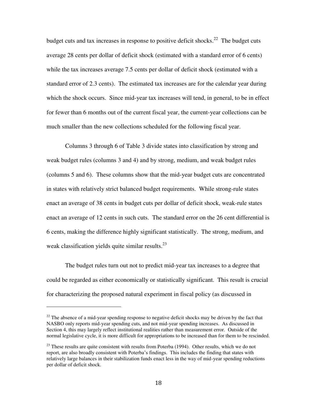budget cuts and tax increases in response to positive deficit shocks.<sup>22</sup> The budget cuts average 28 cents per dollar of deficit shock (estimated with a standard error of 6 cents) while the tax increases average 7.5 cents per dollar of deficit shock (estimated with a standard error of 2.3 cents). The estimated tax increases are for the calendar year during which the shock occurs. Since mid-year tax increases will tend, in general, to be in effect for fewer than 6 months out of the current fiscal year, the current-year collections can be much smaller than the new collections scheduled for the following fiscal year.

Columns 3 through 6 of Table 3 divide states into classification by strong and weak budget rules (columns 3 and 4) and by strong, medium, and weak budget rules (columns 5 and 6). These columns show that the mid-year budget cuts are concentrated in states with relatively strict balanced budget requirements. While strong-rule states enact an average of 38 cents in budget cuts per dollar of deficit shock, weak-rule states enact an average of 12 cents in such cuts. The standard error on the 26 cent differential is 6 cents, making the difference highly significant statistically. The strong, medium, and weak classification yields quite similar results. $^{23}$ 

The budget rules turn out not to predict mid-year tax increases to a degree that could be regarded as either economically or statistically significant. This result is crucial for characterizing the proposed natural experiment in fiscal policy (as discussed in

 $22$  The absence of a mid-year spending response to negative deficit shocks may be driven by the fact that NASBO only reports mid-year spending cuts, and not mid-year spending increases. As discussed in Section 4, this may largely reflect institutional realities rather than measurement error. Outside of the normal legislative cycle, it is more difficult for appropriations to be increased than for them to be rescinded.

 $23$  These results are quite consistent with results from Poterba (1994). Other results, which we do not report, are also broadly consistent with Poterba's findings. This includes the finding that states with relatively large balances in their stabilization funds enact less in the way of mid-year spending reductions per dollar of deficit shock.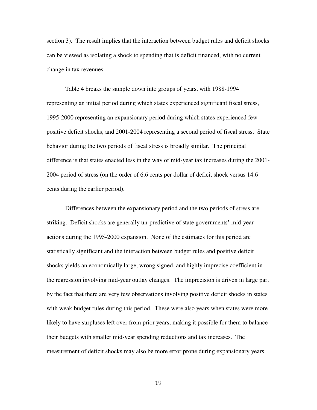section 3). The result implies that the interaction between budget rules and deficit shocks can be viewed as isolating a shock to spending that is deficit financed, with no current change in tax revenues.

Table 4 breaks the sample down into groups of years, with 1988-1994 representing an initial period during which states experienced significant fiscal stress, 1995-2000 representing an expansionary period during which states experienced few positive deficit shocks, and 2001-2004 representing a second period of fiscal stress. State behavior during the two periods of fiscal stress is broadly similar. The principal difference is that states enacted less in the way of mid-year tax increases during the 2001- 2004 period of stress (on the order of 6.6 cents per dollar of deficit shock versus 14.6 cents during the earlier period).

Differences between the expansionary period and the two periods of stress are striking. Deficit shocks are generally un-predictive of state governments' mid-year actions during the 1995-2000 expansion. None of the estimates for this period are statistically significant and the interaction between budget rules and positive deficit shocks yields an economically large, wrong signed, and highly imprecise coefficient in the regression involving mid-year outlay changes. The imprecision is driven in large part by the fact that there are very few observations involving positive deficit shocks in states with weak budget rules during this period. These were also years when states were more likely to have surpluses left over from prior years, making it possible for them to balance their budgets with smaller mid-year spending reductions and tax increases. The measurement of deficit shocks may also be more error prone during expansionary years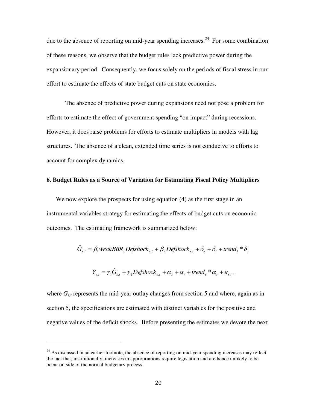due to the absence of reporting on mid-year spending increases.<sup>24</sup> For some combination of these reasons, we observe that the budget rules lack predictive power during the expansionary period. Consequently, we focus solely on the periods of fiscal stress in our effort to estimate the effects of state budget cuts on state economies.

The absence of predictive power during expansions need not pose a problem for efforts to estimate the effect of government spending "on impact" during recessions. However, it does raise problems for efforts to estimate multipliers in models with lag structures. The absence of a clean, extended time series is not conducive to efforts to account for complex dynamics.

#### **6. Budget Rules as a Source of Variation for Estimating Fiscal Policy Multipliers**

We now explore the prospects for using equation (4) as the first stage in an instrumental variables strategy for estimating the effects of budget cuts on economic outcomes. The estimating framework is summarized below:

$$
\hat{G}_{s,t} = \beta_1 weakBBR_sDefshock_{s,t} + \beta_2 Defshock_{s,t} + \delta_s + \delta_t + trend_t * \delta_s
$$

$$
Y_{s,t} = \gamma_1 \hat{G}_{s,t} + \gamma_2 Defshock_{s,t} + \alpha_s + \alpha_t + trend_t * \alpha_s + \varepsilon_{s,t},
$$

where  $G_{s,t}$  represents the mid-year outlay changes from section 5 and where, again as in section 5, the specifications are estimated with distinct variables for the positive and negative values of the deficit shocks. Before presenting the estimates we devote the next

 $^{24}$  As discussed in an earlier footnote, the absence of reporting on mid-year spending increases may reflect the fact that, institutionally, increases in appropriations require legislation and are hence unlikely to be occur outside of the normal budgetary process.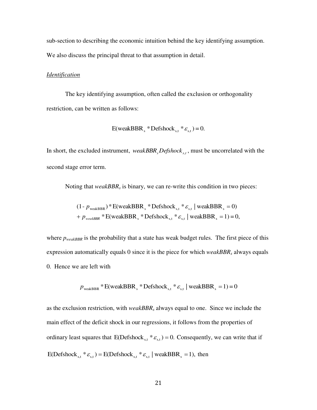sub-section to describing the economic intuition behind the key identifying assumption. We also discuss the principal threat to that assumption in detail.

#### *Identification*

The key identifying assumption, often called the exclusion or orthogonality restriction, can be written as follows:

$$
E(weakBBRs * Defshocks,t * \varepsilons,t) = 0.
$$

In short, the excluded instrument, *weakBBR<sub>s</sub>Defshock*<sub>*s*,*t*</sub>, must be uncorrelated with the second stage error term.

Noting that *weakBBR<sup>s</sup>* is binary, we can re-write this condition in two pieces:

$$
(1 - p_{\text{weakBBR}}) * E(\text{weakBBR}_s * \text{Defshock}_{s,t} * \varepsilon_{s,t} | \text{weakBBR}_s = 0)
$$
  
+ 
$$
p_{\text{weakBBR}} * E(\text{weakBBR}_s * \text{Defshock}_{s,t} * \varepsilon_{s,t} | \text{weakBBR}_s = 1) = 0,
$$

where  $p_{weakBBR}$  is the probability that a state has weak budget rules. The first piece of this expression automatically equals 0 since it is the piece for which *weakBBRs* always equals 0. Hence we are left with

$$
p_{\text{weakBBR}} * E(\text{weakBBR}_s * \text{Defshock}_{s,t} * \varepsilon_{s,t} | \text{weakBBR}_s = 1) = 0
$$

as the exclusion restriction, with *weakBBR<sup>s</sup>* always equal to one. Since we include the main effect of the deficit shock in our regressions, it follows from the properties of ordinary least squares that  $E(\text{Defshock}_{s,t} * \varepsilon_{s,t}) = 0$ . Consequently, we can write that if E(Defshock<sub>s,t</sub>  $* \varepsilon_{s,t}$ ) = E(Defshock<sub>s,t</sub>  $* \varepsilon_{s,t}$  | weakBBR<sub>s</sub> = 1), then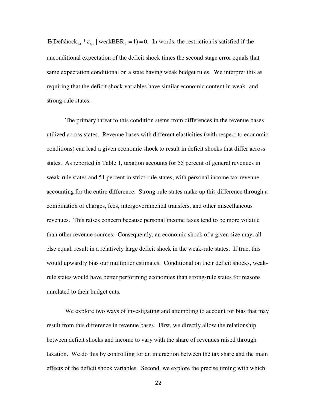E(Defshock<sub>s,t</sub>  $* \varepsilon_{s,t}$  | weakBBR<sub>s</sub> = 1) = 0. In words, the restriction is satisfied if the unconditional expectation of the deficit shock times the second stage error equals that same expectation conditional on a state having weak budget rules. We interpret this as requiring that the deficit shock variables have similar economic content in weak- and strong-rule states.

The primary threat to this condition stems from differences in the revenue bases utilized across states. Revenue bases with different elasticities (with respect to economic conditions) can lead a given economic shock to result in deficit shocks that differ across states. As reported in Table 1, taxation accounts for 55 percent of general revenues in weak-rule states and 51 percent in strict-rule states, with personal income tax revenue accounting for the entire difference. Strong-rule states make up this difference through a combination of charges, fees, intergovernmental transfers, and other miscellaneous revenues. This raises concern because personal income taxes tend to be more volatile than other revenue sources. Consequently, an economic shock of a given size may, all else equal, result in a relatively large deficit shock in the weak-rule states. If true, this would upwardly bias our multiplier estimates. Conditional on their deficit shocks, weakrule states would have better performing economies than strong-rule states for reasons unrelated to their budget cuts.

We explore two ways of investigating and attempting to account for bias that may result from this difference in revenue bases. First, we directly allow the relationship between deficit shocks and income to vary with the share of revenues raised through taxation. We do this by controlling for an interaction between the tax share and the main effects of the deficit shock variables. Second, we explore the precise timing with which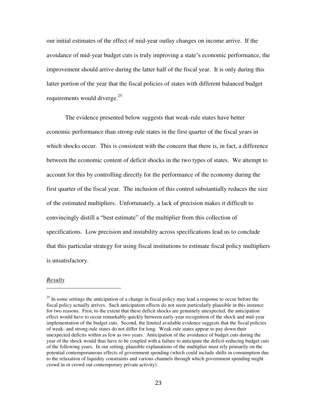our initial estimates of the effect of mid-year outlay changes on income arrive. If the avoidance of mid-year budget cuts is truly improving a state's economic performance, the improvement should arrive during the latter half of the fiscal year. It is only during this latter portion of the year that the fiscal policies of states with different balanced budget requirements would diverge.<sup>25</sup>

The evidence presented below suggests that weak-rule states have better economic performance than strong-rule states in the first quarter of the fiscal years in which shocks occur. This is consistent with the concern that there is, in fact, a difference between the economic content of deficit shocks in the two types of states. We attempt to account for this by controlling directly for the performance of the economy during the first quarter of the fiscal year. The inclusion of this control substantially reduces the size of the estimated multipliers. Unfortunately, a lack of precision makes it difficult to convincingly distill a "best estimate" of the multiplier from this collection of specifications. Low precision and instability across specifications lead us to conclude that this particular strategy for using fiscal institutions to estimate fiscal policy multipliers is unsatisfactory.

#### *Results*

 $^{25}$  In some settings the anticipation of a change in fiscal policy may lead a response to occur before the fiscal policy actually arrives. Such anticipation effects do not seem particularly plausible in this instance for two reasons. First, to the extent that these deficit shocks are genuinely unexpected, the anticipation effect would have to occur remarkably quickly between early-year recognition of the shock and mid-year implementation of the budget cuts. Second, the limited available evidence suggests that the fiscal policies of weak- and strong-rule states do not differ for long. Weak-rule states appear to pay down their unexpected deficits within as few as two years. Anticipation of the avoidance of budget cuts during the year of the shock would thus have to be coupled with a failure to anticipate the deficit-reducing budget cuts of the following years. In our setting, plausible explanations of the multiplier must rely primarily on the potential contemporaneous effects of government spending (which could include shifts in consumption due to the relaxation of liquidity constraints and various channels through which government spending might crowd in or crowd out contemporary private activity).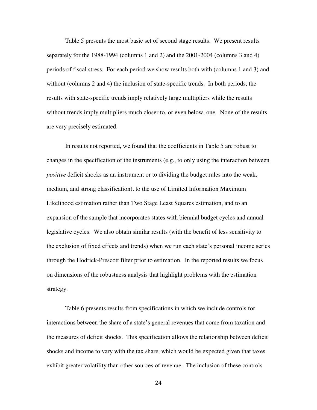Table 5 presents the most basic set of second stage results. We present results separately for the 1988-1994 (columns 1 and 2) and the 2001-2004 (columns 3 and 4) periods of fiscal stress. For each period we show results both with (columns 1 and 3) and without (columns 2 and 4) the inclusion of state-specific trends. In both periods, the results with state-specific trends imply relatively large multipliers while the results without trends imply multipliers much closer to, or even below, one. None of the results are very precisely estimated.

In results not reported, we found that the coefficients in Table 5 are robust to changes in the specification of the instruments (e.g., to only using the interaction between *positive* deficit shocks as an instrument or to dividing the budget rules into the weak, medium, and strong classification), to the use of Limited Information Maximum Likelihood estimation rather than Two Stage Least Squares estimation, and to an expansion of the sample that incorporates states with biennial budget cycles and annual legislative cycles. We also obtain similar results (with the benefit of less sensitivity to the exclusion of fixed effects and trends) when we run each state's personal income series through the Hodrick-Prescott filter prior to estimation. In the reported results we focus on dimensions of the robustness analysis that highlight problems with the estimation strategy.

 Table 6 presents results from specifications in which we include controls for interactions between the share of a state's general revenues that come from taxation and the measures of deficit shocks. This specification allows the relationship between deficit shocks and income to vary with the tax share, which would be expected given that taxes exhibit greater volatility than other sources of revenue. The inclusion of these controls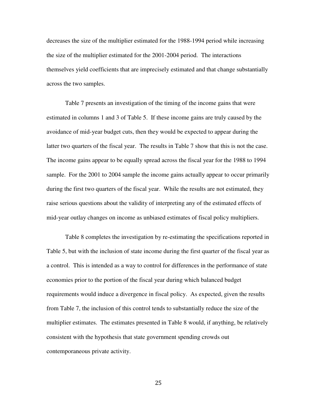decreases the size of the multiplier estimated for the 1988-1994 period while increasing the size of the multiplier estimated for the 2001-2004 period. The interactions themselves yield coefficients that are imprecisely estimated and that change substantially across the two samples.

 Table 7 presents an investigation of the timing of the income gains that were estimated in columns 1 and 3 of Table 5. If these income gains are truly caused by the avoidance of mid-year budget cuts, then they would be expected to appear during the latter two quarters of the fiscal year. The results in Table 7 show that this is not the case. The income gains appear to be equally spread across the fiscal year for the 1988 to 1994 sample. For the 2001 to 2004 sample the income gains actually appear to occur primarily during the first two quarters of the fiscal year. While the results are not estimated, they raise serious questions about the validity of interpreting any of the estimated effects of mid-year outlay changes on income as unbiased estimates of fiscal policy multipliers.

 Table 8 completes the investigation by re-estimating the specifications reported in Table 5, but with the inclusion of state income during the first quarter of the fiscal year as a control. This is intended as a way to control for differences in the performance of state economies prior to the portion of the fiscal year during which balanced budget requirements would induce a divergence in fiscal policy. As expected, given the results from Table 7, the inclusion of this control tends to substantially reduce the size of the multiplier estimates. The estimates presented in Table 8 would, if anything, be relatively consistent with the hypothesis that state government spending crowds out contemporaneous private activity.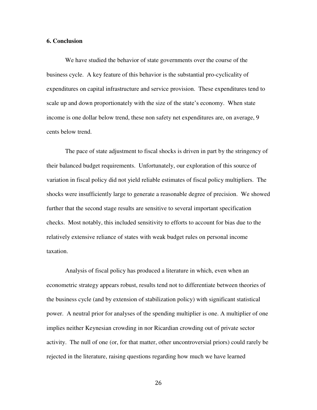#### **6. Conclusion**

We have studied the behavior of state governments over the course of the business cycle. A key feature of this behavior is the substantial pro-cyclicality of expenditures on capital infrastructure and service provision. These expenditures tend to scale up and down proportionately with the size of the state's economy. When state income is one dollar below trend, these non safety net expenditures are, on average, 9 cents below trend.

The pace of state adjustment to fiscal shocks is driven in part by the stringency of their balanced budget requirements. Unfortunately, our exploration of this source of variation in fiscal policy did not yield reliable estimates of fiscal policy multipliers. The shocks were insufficiently large to generate a reasonable degree of precision. We showed further that the second stage results are sensitive to several important specification checks. Most notably, this included sensitivity to efforts to account for bias due to the relatively extensive reliance of states with weak budget rules on personal income taxation.

Analysis of fiscal policy has produced a literature in which, even when an econometric strategy appears robust, results tend not to differentiate between theories of the business cycle (and by extension of stabilization policy) with significant statistical power. A neutral prior for analyses of the spending multiplier is one. A multiplier of one implies neither Keynesian crowding in nor Ricardian crowding out of private sector activity. The null of one (or, for that matter, other uncontroversial priors) could rarely be rejected in the literature, raising questions regarding how much we have learned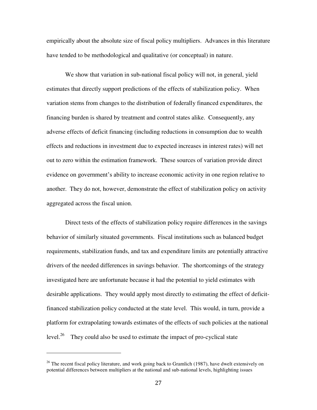empirically about the absolute size of fiscal policy multipliers. Advances in this literature have tended to be methodological and qualitative (or conceptual) in nature.

We show that variation in sub-national fiscal policy will not, in general, yield estimates that directly support predictions of the effects of stabilization policy. When variation stems from changes to the distribution of federally financed expenditures, the financing burden is shared by treatment and control states alike. Consequently, any adverse effects of deficit financing (including reductions in consumption due to wealth effects and reductions in investment due to expected increases in interest rates) will net out to zero within the estimation framework. These sources of variation provide direct evidence on government's ability to increase economic activity in one region relative to another. They do not, however, demonstrate the effect of stabilization policy on activity aggregated across the fiscal union.

Direct tests of the effects of stabilization policy require differences in the savings behavior of similarly situated governments. Fiscal institutions such as balanced budget requirements, stabilization funds, and tax and expenditure limits are potentially attractive drivers of the needed differences in savings behavior. The shortcomings of the strategy investigated here are unfortunate because it had the potential to yield estimates with desirable applications. They would apply most directly to estimating the effect of deficitfinanced stabilization policy conducted at the state level. This would, in turn, provide a platform for extrapolating towards estimates of the effects of such policies at the national level. $26$  They could also be used to estimate the impact of pro-cyclical state

<sup>&</sup>lt;sup>26</sup> The recent fiscal policy literature, and work going back to Gramlich (1987), have dwelt extensively on potential differences between multipliers at the national and sub-national levels, highlighting issues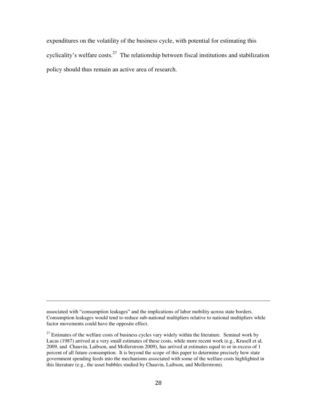expenditures on the volatility of the business cycle, with potential for estimating this cyclicality's welfare costs.<sup>27</sup> The relationship between fiscal institutions and stabilization policy should thus remain an active area of research.

associated with "consumption leakages" and the implications of labor mobility across state borders. Consumption leakages would tend to reduce sub-national multipliers relative to national multipliers while factor movements could have the opposite effect.

 $27$  Estimates of the welfare costs of business cycles vary widely within the literature. Seminal work by Lucas (1987) arrived at a very small estimates of these costs, while more recent work (e.g., Krusell et al, 2009, and Chauvin, Laibson, and Mollerstrom 2009), has arrived at estimates equal to or in excess of 1 percent of all future consumption. It is beyond the scope of this paper to determine precisely how state government spending feeds into the mechanisms associated with some of the welfare costs highlighted in this literature (e.g., the asset bubbles studied by Chauvin, Laibson, and Mollerstrom).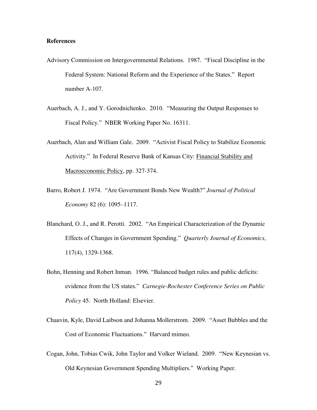#### **References**

- Advisory Commission on Intergovernmental Relations. 1987. "Fiscal Discipline in the Federal System: National Reform and the Experience of the States." Report number A-107.
- Auerbach, A. J., and Y. Gorodnichenko. 2010. "Measuring the Output Responses to Fiscal Policy." NBER Working Paper No. 16311.
- Auerbach, Alan and William Gale. 2009. "Activist Fiscal Policy to Stabilize Economic Activity." In Federal Reserve Bank of Kansas City: Financial Stability and Macroeconomic Policy, pp. 327-374.
- Barro, Robert J. 1974. "Are Government Bonds New Wealth?" *Journal of Political Economy* 82 (6): 1095–1117.
- Blanchard, O. J., and R. Perotti. 2002. "An Empirical Characterization of the Dynamic Effects of Changes in Government Spending." *Quarterly Journal of Economics*, 117(4), 1329-1368.
- Bohn, Henning and Robert Inman. 1996. "Balanced budget rules and public deficits: evidence from the US states." *Carnegie-Rochester Conference Series on Public Policy* 45. North Holland: Elsevier.
- Chauvin, Kyle, David Laibson and Johanna Mollerstrom. 2009. "Asset Bubbles and the Cost of Economic Fluctuations." Harvard mimeo.
- Cogan, John, Tobias Cwik, John Taylor and Volker Wieland. 2009. "New Keynesian vs. Old Keynesian Government Spending Multipliers." Working Paper.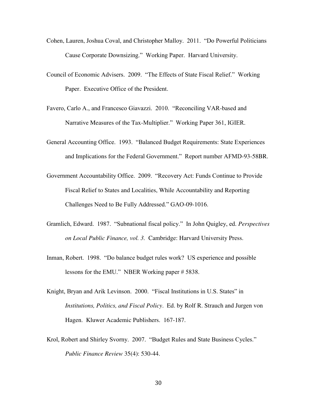- Cohen, Lauren, Joshua Coval, and Christopher Malloy. 2011. "Do Powerful Politicians Cause Corporate Downsizing." Working Paper. Harvard University.
- Council of Economic Advisers. 2009. "The Effects of State Fiscal Relief." Working Paper. Executive Office of the President.
- Favero, Carlo A., and Francesco Giavazzi. 2010. "Reconciling VAR-based and Narrative Measures of the Tax-Multiplier." Working Paper 361, IGIER.
- General Accounting Office. 1993. "Balanced Budget Requirements: State Experiences and Implications for the Federal Government." Report number AFMD-93-58BR.
- Government Accountability Office. 2009. "Recovery Act: Funds Continue to Provide Fiscal Relief to States and Localities, While Accountability and Reporting Challenges Need to Be Fully Addressed." GAO-09-1016.
- Gramlich, Edward. 1987. "Subnational fiscal policy." In John Quigley, ed. *Perspectives on Local Public Finance, vol. 3.* Cambridge: Harvard University Press.
- Inman, Robert. 1998. "Do balance budget rules work? US experience and possible lessons for the EMU." NBER Working paper # 5838.
- Knight, Bryan and Arik Levinson. 2000. "Fiscal Institutions in U.S. States" in *Institutions, Politics, and Fiscal Policy*. Ed. by Rolf R. Strauch and Jurgen von Hagen. Kluwer Academic Publishers. 167-187.
- Krol, Robert and Shirley Svorny. 2007. "Budget Rules and State Business Cycles." *Public Finance Review* 35(4): 530-44.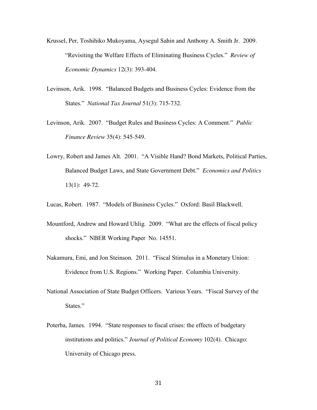- Krussel, Per, Toshihiko Mukoyama, Aysegul Sahin and Anthony A. Smith Jr. 2009. "Revisiting the Welfare Effects of Eliminating Business Cycles." *Review of Economic Dynamics* 12(3): 393-404.
- Levinson, Arik. 1998. "Balanced Budgets and Business Cycles: Evidence from the States." *National Tax Journal* 51(3): 715-732.
- Levinson, Arik. 2007. "Budget Rules and Business Cycles: A Comment." *Public Finance Review* 35(4): 545-549.
- Lowry, Robert and James Alt. 2001. "A Visible Hand? Bond Markets, Political Parties, Balanced Budget Laws, and State Government Debt." *Economics and Politics* 13(1): 49-72.

Lucas, Robert. 1987. "Models of Business Cycles." Oxford: Basil Blackwell.

- Mountford, Andrew and Howard Uhlig. 2009. "What are the effects of fiscal policy shocks." NBER Working Paper No. 14551.
- Nakamura, Emi, and Jon Steinson. 2011. "Fiscal Stimulus in a Monetary Union: Evidence from U.S. Regions." Working Paper. Columbia University.
- National Association of State Budget Officers. Various Years. "Fiscal Survey of the States."
- Poterba, James. 1994. "State responses to fiscal crises: the effects of budgetary institutions and politics." *Journal of Political Economy* 102(4). Chicago: University of Chicago press.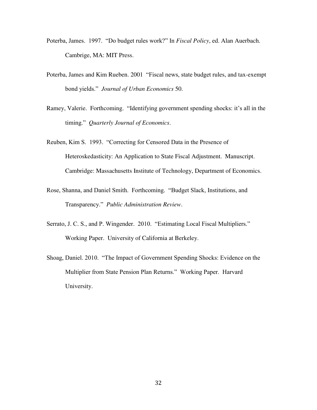- Poterba, James. 1997. "Do budget rules work?" In *Fiscal Policy*, ed. Alan Auerbach. Cambrige, MA: MIT Press.
- Poterba, James and Kim Rueben. 2001 "Fiscal news, state budget rules, and tax-exempt bond yields." *Journal of Urban Economics* 50.
- Ramey, Valerie. Forthcoming. "Identifying government spending shocks: it's all in the timing." *Quarterly Journal of Economics*.
- Reuben, Kim S. 1993. "Correcting for Censored Data in the Presence of Heteroskedasticity: An Application to State Fiscal Adjustment. Manuscript. Cambridge: Massachusetts Institute of Technology, Department of Economics.
- Rose, Shanna, and Daniel Smith. Forthcoming. "Budget Slack, Institutions, and Transparency." *Public Administration Review*.
- Serrato, J. C. S., and P. Wingender. 2010. "Estimating Local Fiscal Multipliers." Working Paper. University of California at Berkeley.
- Shoag, Daniel. 2010. "The Impact of Government Spending Shocks: Evidence on the Multiplier from State Pension Plan Returns." Working Paper. Harvard University.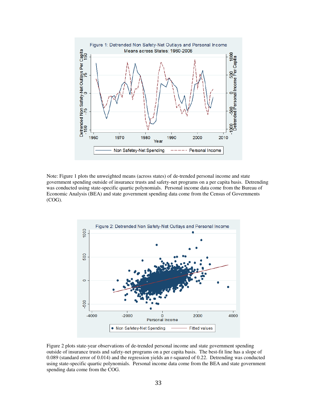

Note: Figure 1 plots the unweighted means (across states) of de-trended personal income and state government spending outside of insurance trusts and safety-net programs on a per capita basis. Detrending was conducted using state-specific quartic polynomials. Personal income data come from the Bureau of Economic Analysis (BEA) and state government spending data come from the Census of Governments (COG).



Figure 2 plots state-year observations of de-trended personal income and state government spending outside of insurance trusts and safety-net programs on a per capita basis. The best-fit line has a slope of 0.089 (standard error of 0.014) and the regression yields an r-squared of 0.22. Detrending was conducted using state-specific quartic polynomials. Personal income data come from the BEA and state government spending data come from the COG.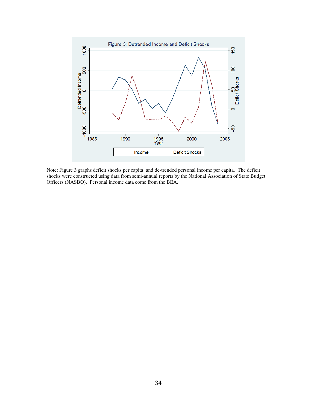

Note: Figure 3 graphs deficit shocks per capita and de-trended personal income per capita. The deficit shocks were constructed using data from semi-annual reports by the National Association of State Budget Officers (NASBO). Personal income data come from the BEA.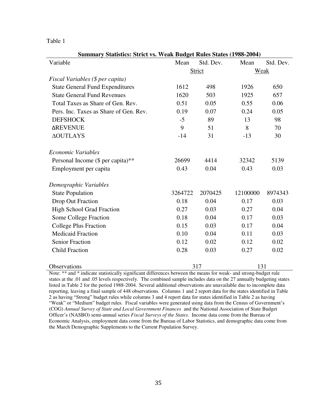**Summary Statistics: Strict vs. Weak Budget Rules States (1988-2004)**  Variable Mean Std. Dev. Mean Std. Dev. Strict Weak *Fiscal Variables (\$ per capita)*  State General Fund Expenditures 1612 498 1926 650 State General Fund Revenues 1620 503 1925 657 Total Taxes as Share of Gen. Rev.  $0.51$   $0.05$   $0.55$   $0.06$  Pers. Inc. Taxes as Share of Gen. Rev. 0.19 0.07 0.24 0.05 DEFSHOCK -5 89 13 98 ∆REVENUE 9 51 8 70 ∆OUTLAYS -14 31 -13 30 *Economic Variables*  Personal Income (\$ per capita)\*\* 26699 4414 32342 5139 Employment per capita  $0.43$  0.04 0.43 0.03 *Demographic Variables*  State Population 3264722 2070425 12100000 8974343 Drop Out Fraction 0.18 0.04 0.17 0.03 High School Grad Fraction  $0.27$  0.03 0.27 0.04 Some College Fraction  $0.18$  0.04  $0.17$  0.03 College Plus Fraction  $0.15$   $0.03$   $0.17$   $0.04$ Medicaid Fraction **0.10** 0.04 0.11 0.03 Senior Fraction **0.12** 0.02 0.12 0.02 Child Fraction **0.28** 0.03 0.27 0.02 Observations 317 131

Note: \*\* and \* indicate statistically significant differences between the means for weak- and strong-budget rule states at the .01 and .05 levels respectively. The combined sample includes data on the 27 annually budgeting states listed in Table 2 for the period 1988-2004. Several additional observations are unavailable due to incomplete data reporting, leaving a final sample of 448 observations. Columns 1 and 2 report data for the states identified in Table 2 as having "Strong" budget rules while columns 3 and 4 report data for states identified in Table 2 as having "Weak" or "Medium" budget rules. Fiscal variables were generated using data from the Census of Government's (COG) *Annual Survey of State and Local Government Finances* and the National Association of State Budget Officer's (NASBO) semi-annual series *Fiscal Surveys of the States*. Income data come from the Bureau of Economic Analysis, employment data come from the Bureau of Labor Statistics, and demographic data come from the March Demographic Supplements to the Current Population Survey.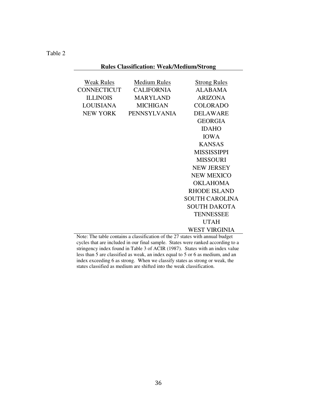# **Rules Classification: Weak/Medium/Strong**

| <b>Weak Rules</b> | <b>Medium Rules</b> | <b>Strong Rules</b>   |
|-------------------|---------------------|-----------------------|
| CONNECTICUT       | <b>CALIFORNIA</b>   | ALABAMA               |
| <b>ILLINOIS</b>   | <b>MARYLAND</b>     | <b>ARIZONA</b>        |
| <b>LOUISIANA</b>  | MICHIGAN            | <b>COLORADO</b>       |
| <b>NEW YORK</b>   | <b>PENNSYLVANIA</b> | <b>DELAWARE</b>       |
|                   |                     | <b>GEORGIA</b>        |
|                   |                     | <b>IDAHO</b>          |
|                   |                     | <b>IOWA</b>           |
|                   |                     | <b>KANSAS</b>         |
|                   |                     | <b>MISSISSIPPI</b>    |
|                   |                     | <b>MISSOURI</b>       |
|                   |                     | <b>NEW JERSEY</b>     |
|                   |                     | <b>NEW MEXICO</b>     |
|                   |                     | OKLAHOMA              |
|                   |                     | RHODE ISLAND          |
|                   |                     | <b>SOUTH CAROLINA</b> |
|                   |                     | <b>SOUTH DAKOTA</b>   |
|                   |                     | <b>TENNESSEE</b>      |
|                   |                     | <b>UTAH</b>           |
|                   |                     | WEST VIRGINIA         |

Note: The table contains a classification of the 27 states with annual budget cycles that are included in our final sample. States were ranked according to a stringency index found in Table 3 of ACIR (1987). States with an index value less than 5 are classified as weak, an index equal to 5 or 6 as medium, and an index exceeding 6 as strong. When we classify states as strong or weak, the states classified as medium are shifted into the weak classification.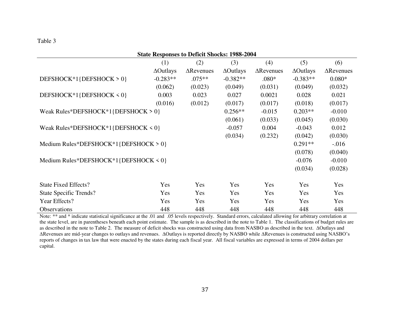| <b>State Responses to Deficit Shocks: 1988-2004</b> |                  |                   |                  |                   |                  |                   |
|-----------------------------------------------------|------------------|-------------------|------------------|-------------------|------------------|-------------------|
|                                                     | (1)              | (2)               | (3)              | (4)               | (5)              | (6)               |
|                                                     | $\Delta$ Outlays | $\Delta$ Revenues | $\Delta$ Outlays | $\Delta$ Revenues | $\Delta$ Outlays | $\Delta$ Revenues |
| DEFSHOCK*1{DEFSHOCK > 0}                            | $-0.283**$       | $.075**$          | $-0.382**$       | $.080*$           | $-0.383**$       | $0.080*$          |
|                                                     | (0.062)          | (0.023)           | (0.049)          | (0.031)           | (0.049)          | (0.032)           |
| DEFSHOCK*1{DEFSHOCK < 0}                            | 0.003            | 0.023             | 0.027            | 0.0021            | 0.028            | 0.021             |
|                                                     | (0.016)          | (0.012)           | (0.017)          | (0.017)           | (0.018)          | (0.017)           |
| Weak Rules*DEFSHOCK*1{DEFSHOCK > 0}                 |                  | $0.256**$         | $-0.015$         | $0.203**$         | $-0.010$         |                   |
|                                                     |                  |                   | (0.061)          | (0.033)           | (0.045)          | (0.030)           |
| Weak Rules*DEFSHOCK*1{DEFSHOCK < 0}                 |                  | $-0.057$          | 0.004            | $-0.043$          | 0.012            |                   |
|                                                     |                  |                   | (0.034)          | (0.232)           | (0.042)          | (0.030)           |
| Medium Rules*DEFSHOCK*1{DEFSHOCK > 0}               |                  |                   |                  |                   | $0.291**$        | $-.016$           |
|                                                     |                  |                   |                  |                   | (0.078)          | (0.040)           |
| Medium Rules*DEFSHOCK*1{DEFSHOCK < 0}               |                  |                   |                  |                   | $-0.076$         | $-0.010$          |
|                                                     |                  |                   |                  |                   | (0.034)          | (0.028)           |
| <b>State Fixed Effects?</b>                         | Yes              | Yes               | Yes              | Yes               | Yes              | Yes               |
| State Specific Trends?                              | Yes              | Yes               | Yes              | Yes               | Yes              | Yes               |
| Year Effects?                                       | Yes              | Yes               | Yes              | Yes               | Yes              | Yes               |
| Observations                                        | 448              | 448               | 448              | 448               | 448              | 448               |

Note: \*\* and \* indicate statistical significance at the .01 and .05 levels respectively. Standard errors, calculated allowing for arbitrary correlation at the state level, are in parentheses beneath each point estimate. The sample is as described in the note to Table 1. The classifications of budget rules are as described in the note to Table 2. The measure of deficit shocks was constructed using data from NASBO as described in the text. ∆Outlays and ∆Revenues are mid-year changes to outlays and revenues. ∆Outlays is reported directly by NASBO while ∆Revenues is constructed using NASBO's reports of changes in tax law that were enacted by the states during each fiscal year. All fiscal variables are expressed in terms of 2004 dollars per capital.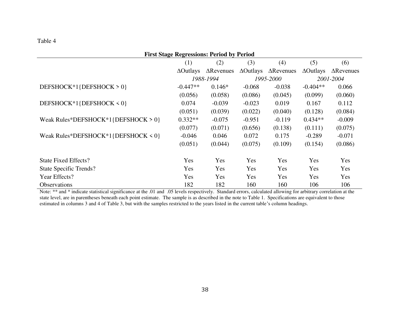## **First Stage Regressions: Period by Period**

|                                     | (1)              | (2)               | (3)              | (4)               | (5)              | (6)               |
|-------------------------------------|------------------|-------------------|------------------|-------------------|------------------|-------------------|
|                                     | $\Delta$ Outlays | $\Delta$ Revenues | $\Delta$ Outlays | $\Delta$ Revenues | $\Delta$ Outlays | $\Delta$ Revenues |
|                                     |                  | 1988-1994         |                  | 1995-2000         |                  | 2001-2004         |
| DEFSHOCK*1{DEFSHOCK > 0}            | $-0.447**$       | $0.146*$          | $-0.068$         | $-0.038$          | $-0.404**$       | 0.066             |
|                                     | (0.056)          | (0.058)           | (0.086)          | (0.045)           | (0.099)          | (0.060)           |
| DEFSHOCK*1{DEFSHOCK < 0}            | 0.074            | $-0.039$          | $-0.023$         | 0.019             | 0.167            | 0.112             |
|                                     | (0.051)          | (0.039)           | (0.022)          | (0.040)           | (0.128)          | (0.084)           |
| Weak Rules*DEFSHOCK*1{DEFSHOCK > 0} | $0.332**$        | $-0.075$          | $-0.951$         | $-0.119$          | $0.434**$        | $-0.009$          |
|                                     | (0.077)          | (0.071)           | (0.656)          | (0.138)           | (0.111)          | (0.075)           |
| Weak Rules*DEFSHOCK*1{DEFSHOCK < 0} | $-0.046$         | 0.046             | 0.072            | 0.175             | $-0.289$         | $-0.071$          |
|                                     | (0.051)          | (0.044)           | (0.075)          | (0.109)           | (0.154)          | (0.086)           |
| <b>State Fixed Effects?</b>         | Yes              | Yes               | Yes              | Yes               | Yes              | Yes               |
| <b>State Specific Trends?</b>       | Yes              | Yes               | Yes              | Yes               | Yes              | Yes               |
| Year Effects?                       | Yes              | Yes               | Yes              | Yes               | Yes              | Yes               |
| <b>Observations</b>                 | 182              | 182               | 160              | 160               | 106              | 106               |

Note: \*\* and \* indicate statistical significance at the .01 and .05 levels respectively. Standard errors, calculated allowing for arbitrary correlation at the state level, are in parentheses beneath each point estimate. The sample is as described in the note to Table 1. Specifications are equivalent to those estimated in columns 3 and 4 of Table 3, but with the samples restricted to the years listed in the current table's column headings.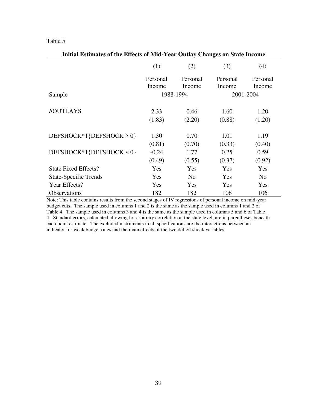| Initial Estimates of the Effects of Mid-Year Outlay Changes on State Income |            |                |            |                |  |
|-----------------------------------------------------------------------------|------------|----------------|------------|----------------|--|
|                                                                             | (1)<br>(2) |                | (3)        | (4)            |  |
|                                                                             | Personal   | Personal       | Personal   | Personal       |  |
|                                                                             | Income     | Income         | Income     | Income         |  |
| Sample                                                                      |            | 1988-1994      |            | 2001-2004      |  |
|                                                                             |            |                |            |                |  |
| <b><i>AOUTLAYS</i></b>                                                      | 2.33       | 0.46           | 1.60       | 1.20           |  |
|                                                                             | (1.83)     | (2.20)         | (0.88)     | (1.20)         |  |
|                                                                             |            |                |            |                |  |
| DEFSHOCK*1{DEFSHOCK > 0}                                                    | 1.30       | 0.70           | 1.01       | 1.19           |  |
|                                                                             | (0.81)     | (0.70)         | (0.33)     | (0.40)         |  |
| DEFSHOCK*1{DEFSHOCK < 0}                                                    | $-0.24$    | 1.77           | 0.25       | 0.59           |  |
|                                                                             | (0.49)     | (0.55)         | (0.37)     | (0.92)         |  |
| <b>State Fixed Effects?</b>                                                 | Yes        | Yes            | Yes        | Yes            |  |
| <b>State-Specific Trends</b>                                                | Yes        | N <sub>0</sub> | Yes        | N <sub>0</sub> |  |
| Year Effects?                                                               | Yes        | Yes            | <b>Yes</b> | Yes            |  |
| <b>Observations</b>                                                         | 182        | 182            | 106        | 106            |  |

Note: This table contains results from the second stages of IV regressions of personal income on mid-year budget cuts. The sample used in columns 1 and 2 is the same as the sample used in columns 1 and 2 of Table 4. The sample used in columns 3 and 4 is the same as the sample used in columns 5 and 6 of Table 4. Standard errors, calculated allowing for arbitrary correlation at the state level, are in parentheses beneath each point estimate. The excluded instruments in all specifications are the interactions between an indicator for weak budget rules and the main effects of the two deficit shock variables.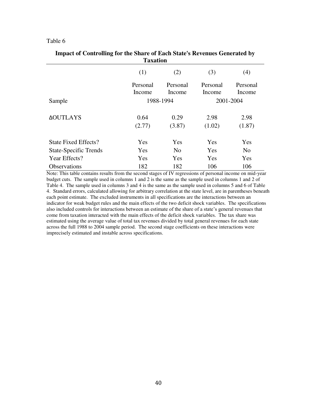#### **Impact of Controlling for the Share of Each State's Revenues Generated by Taxation**

| 1 алаиши                     |          |                |          |                |  |  |
|------------------------------|----------|----------------|----------|----------------|--|--|
|                              | (1)      | (2)            | (3)      | (4)            |  |  |
|                              | Personal | Personal       | Personal | Personal       |  |  |
|                              | Income   | Income         | Income   | Income         |  |  |
| Sample                       |          | 1988-1994      |          | 2001-2004      |  |  |
| <b>AOUTLAYS</b>              | 0.64     | 0.29           | 2.98     | 2.98           |  |  |
|                              | (2.77)   | (3.87)         | (1.02)   | (1.87)         |  |  |
| State Fixed Effects?         | Yes      | Yes            | Yes      | Yes            |  |  |
| <b>State-Specific Trends</b> | Yes      | N <sub>0</sub> | Yes      | N <sub>0</sub> |  |  |
| Year Effects?                | Yes      | Yes            | Yes      | Yes            |  |  |
| <b>Observations</b>          | 182      | 182            | 106      | 106            |  |  |

Note: This table contains results from the second stages of IV regressions of personal income on mid-year budget cuts. The sample used in columns 1 and 2 is the same as the sample used in columns 1 and 2 of Table 4. The sample used in columns 3 and 4 is the same as the sample used in columns 5 and 6 of Table 4. Standard errors, calculated allowing for arbitrary correlation at the state level, are in parentheses beneath each point estimate. The excluded instruments in all specifications are the interactions between an indicator for weak budget rules and the main effects of the two deficit shock variables. The specifications also included controls for interactions between an estimate of the share of a state's general revenues that come from taxation interacted with the main effects of the deficit shock variables. The tax share was estimated using the average value of total tax revenues divided by total general revenues for each state across the full 1988 to 2004 sample period. The second stage coefficients on these interactions were imprecisely estimated and instable across specifications.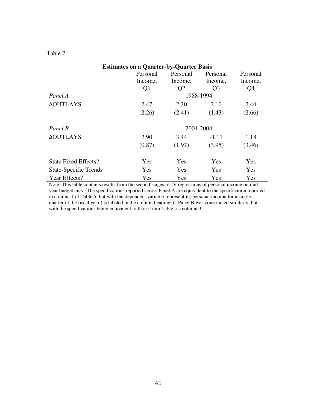| <b>Estimates on a Quarter-by-Quarter Basis</b> |                |                |                |          |  |
|------------------------------------------------|----------------|----------------|----------------|----------|--|
|                                                | Personal       | Personal       | Personal       | Personal |  |
|                                                | Income,        | Income,        | Income,        | Income,  |  |
|                                                | Q <sub>1</sub> | Q <sub>2</sub> | Q <sub>3</sub> | Q4       |  |
| Panel A                                        |                | 1988-1994      |                |          |  |
| <b>AOUTLAYS</b>                                | 2.47           | 2.30           | 2.10           | 2.44     |  |
|                                                | (2.26)         | (2.41)         | (1.43)         | (2.66)   |  |
| Panel B                                        |                | 2001-2004      |                |          |  |
| <b>AOUTLAYS</b>                                | 2.90           | 3.44           | $-1.11$        | 1.18     |  |
|                                                | (0.87)         | (1.97)         | (3.95)         | (3.46)   |  |
| State Fixed Effects?                           | Yes            | Yes            | Yes            | Yes      |  |
| <b>State-Specific Trends</b>                   | Yes            | Yes            | Yes            | Yes      |  |
| Year Effects?                                  | Yes            | Yes            | Yes            | Yes      |  |

Note: This table contains results from the second stages of IV regressions of personal income on midyear budget cuts. The specifications reported across Panel A are equivalent to the specification reported in column 1 of Table 5, but with the dependent variable representing personal income for a single quarter of the fiscal year (as labeled in the column headings). Panel B was constructed similarly, but with the specifications being equivalent to those from Table 5's column 3.

### Table 7